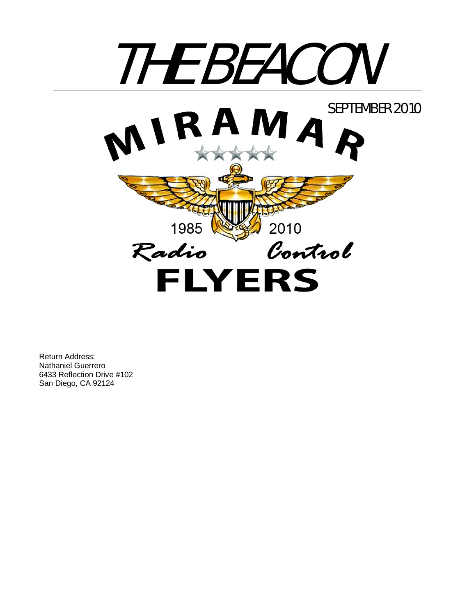

Return Address: Nathaniel Guerrero 6433 Reflection Drive #102 San Diego, CA 92124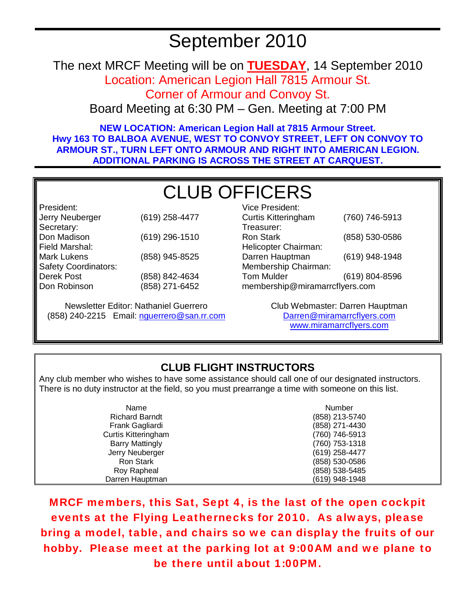### September 2010

The next MRCF Meeting will be on **TUESDAY**, 14 September 2010

Location: American Legion Hall 7815 Armour St.

Corner of Armour and Convoy St.

Board Meeting at 6:30 PM – Gen. Meeting at 7:00 PM

**NEW LOCATION: American Legion Hall at 7815 Armour Street. Hwy 163 TO BALBOA AVENUE, WEST TO CONVOY STREET, LEFT ON CONVOY TO ARMOUR ST., TURN LEFT ONTO ARMOUR AND RIGHT INTO AMERICAN LEGION. ADDITIONAL PARKING IS ACROSS THE STREET AT CARQUEST.** 

### CLUB OFFICERS

President: Jerry Neuberger (619) 258-4477 Secretary: Don Madison (619) 296-1510 Field Marshal: Mark Lukens (858) 945-8525 Safety Coordinators: Derek Post Don Robinson (858) 842-4634 (858) 271-6452

Newsletter Editor: Nathaniel Guerrero (858) 240-2215 Email: nguerrero@san.rr.com

| Vice President:                |                |  |
|--------------------------------|----------------|--|
| <b>Curtis Kitteringham</b>     | (760) 746-5913 |  |
| Treasurer:                     |                |  |
| Ron Stark                      | (858) 530-0586 |  |
| Helicopter Chairman:           |                |  |
| Darren Hauptman                | (619) 948-1948 |  |
| Membership Chairman:           |                |  |
| <b>Tom Mulder</b>              | (619) 804-8596 |  |
| membership@miramarrcflyers.com |                |  |

Club Webmaster: Darren Hauptman Darren@miramarrcflyers.com www.miramarrcflyers.com

#### **CLUB FLIGHT INSTRUCTORS**

Any club member who wishes to have some assistance should call one of our designated instructors. There is no duty instructor at the field, so you must prearrange a time with someone on this list.

| Name                   | <b>Number</b>  |
|------------------------|----------------|
| <b>Richard Barndt</b>  | (858) 213-5740 |
| Frank Gagliardi        | (858) 271-4430 |
| Curtis Kitteringham    | (760) 746-5913 |
| <b>Barry Mattingly</b> | (760) 753-1318 |
| Jerry Neuberger        | (619) 258-4477 |
| Ron Stark              | (858) 530-0586 |
| Roy Rapheal            | (858) 538-5485 |
| Darren Hauptman        | (619) 948-1948 |

MRCF members, this Sat, Sept 4, is the last of the open cockpit events at the Flying Leathernecks for 2010. As always, please bring a model, table, and chairs so we can display the fruits of our hobby. Please meet at the parking lot at 9:00AM and we plane to be there until about 1:00PM.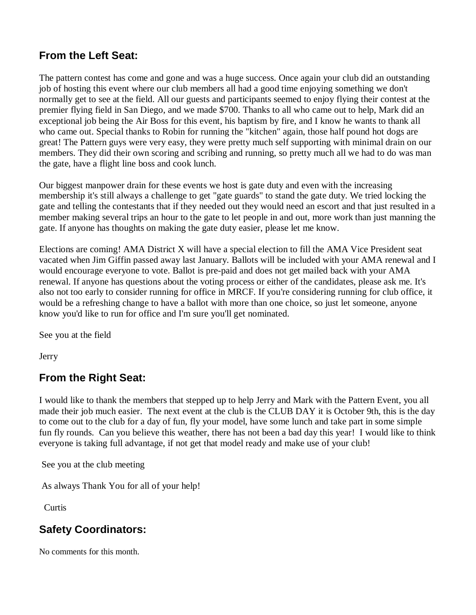#### **From the Left Seat:**

The pattern contest has come and gone and was a huge success. Once again your club did an outstanding job of hosting this event where our club members all had a good time enjoying something we don't normally get to see at the field. All our guests and participants seemed to enjoy flying their contest at the premier flying field in San Diego, and we made \$700. Thanks to all who came out to help, Mark did an exceptional job being the Air Boss for this event, his baptism by fire, and I know he wants to thank all who came out. Special thanks to Robin for running the "kitchen" again, those half pound hot dogs are great! The Pattern guys were very easy, they were pretty much self supporting with minimal drain on our members. They did their own scoring and scribing and running, so pretty much all we had to do was man the gate, have a flight line boss and cook lunch.

Our biggest manpower drain for these events we host is gate duty and even with the increasing membership it's still always a challenge to get "gate guards" to stand the gate duty. We tried locking the gate and telling the contestants that if they needed out they would need an escort and that just resulted in a member making several trips an hour to the gate to let people in and out, more work than just manning the gate. If anyone has thoughts on making the gate duty easier, please let me know.

Elections are coming! AMA District X will have a special election to fill the AMA Vice President seat vacated when Jim Giffin passed away last January. Ballots will be included with your AMA renewal and I would encourage everyone to vote. Ballot is pre-paid and does not get mailed back with your AMA renewal. If anyone has questions about the voting process or either of the candidates, please ask me. It's also not too early to consider running for office in MRCF. If you're considering running for club office, it would be a refreshing change to have a ballot with more than one choice, so just let someone, anyone know you'd like to run for office and I'm sure you'll get nominated.

See you at the field

**Jerry** 

#### **From the Right Seat:**

I would like to thank the members that stepped up to help Jerry and Mark with the Pattern Event, you all made their job much easier. The next event at the club is the CLUB DAY it is October 9th, this is the day to come out to the club for a day of fun, fly your model, have some lunch and take part in some simple fun fly rounds. Can you believe this weather, there has not been a bad day this year! I would like to think everyone is taking full advantage, if not get that model ready and make use of your club!

See you at the club meeting

As always Thank You for all of your help!

**Curtis** 

#### **Safety Coordinators:**

No comments for this month.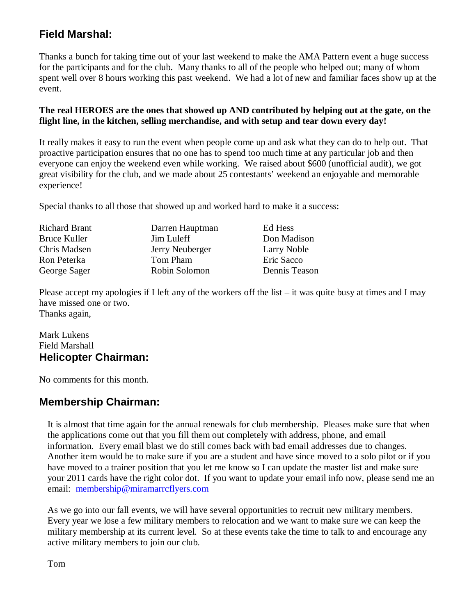#### **Field Marshal:**

Thanks a bunch for taking time out of your last weekend to make the AMA Pattern event a huge success for the participants and for the club. Many thanks to all of the people who helped out; many of whom spent well over 8 hours working this past weekend. We had a lot of new and familiar faces show up at the event.

#### **The real HEROES are the ones that showed up AND contributed by helping out at the gate, on the flight line, in the kitchen, selling merchandise, and with setup and tear down every day!**

It really makes it easy to run the event when people come up and ask what they can do to help out. That proactive participation ensures that no one has to spend too much time at any particular job and then everyone can enjoy the weekend even while working. We raised about \$600 (unofficial audit), we got great visibility for the club, and we made about 25 contestants' weekend an enjoyable and memorable experience!

Special thanks to all those that showed up and worked hard to make it a success:

| <b>Richard Brant</b> | Darren Hauptman | Ed Hess       |
|----------------------|-----------------|---------------|
| Bruce Kuller         | Jim Luleff      | Don Madison   |
| Chris Madsen         | Jerry Neuberger | Larry Noble   |
| Ron Peterka          | Tom Pham        | Eric Sacco    |
| George Sager         | Robin Solomon   | Dennis Teason |

Please accept my apologies if I left any of the workers off the list – it was quite busy at times and I may have missed one or two. Thanks again,

#### Mark Lukens Field Marshall **Helicopter Chairman:**

No comments for this month.

#### **Membership Chairman:**

It is almost that time again for the annual renewals for club membership. Pleases make sure that when the applications come out that you fill them out completely with address, phone, and email information. Every email blast we do still comes back with bad email addresses due to changes. Another item would be to make sure if you are a student and have since moved to a solo pilot or if you have moved to a trainer position that you let me know so I can update the master list and make sure your 2011 cards have the right color dot. If you want to update your email info now, please send me an email: membership@miramarrcflyers.com

As we go into our fall events, we will have several opportunities to recruit new military members. Every year we lose a few military members to relocation and we want to make sure we can keep the military membership at its current level. So at these events take the time to talk to and encourage any active military members to join our club.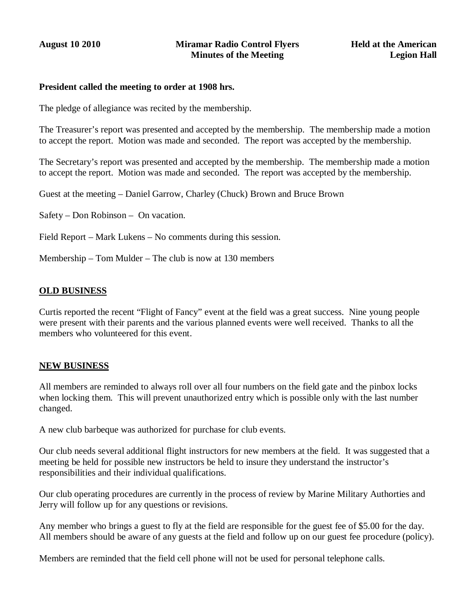#### **President called the meeting to order at 1908 hrs.**

The pledge of allegiance was recited by the membership.

The Treasurer's report was presented and accepted by the membership. The membership made a motion to accept the report. Motion was made and seconded. The report was accepted by the membership.

The Secretary's report was presented and accepted by the membership. The membership made a motion to accept the report. Motion was made and seconded. The report was accepted by the membership.

Guest at the meeting – Daniel Garrow, Charley (Chuck) Brown and Bruce Brown

Safety – Don Robinson – On vacation.

- Field Report Mark Lukens No comments during this session.
- Membership Tom Mulder The club is now at 130 members

#### **OLD BUSINESS**

Curtis reported the recent "Flight of Fancy" event at the field was a great success. Nine young people were present with their parents and the various planned events were well received. Thanks to all the members who volunteered for this event.

#### **NEW BUSINESS**

All members are reminded to always roll over all four numbers on the field gate and the pinbox locks when locking them. This will prevent unauthorized entry which is possible only with the last number changed.

A new club barbeque was authorized for purchase for club events.

Our club needs several additional flight instructors for new members at the field. It was suggested that a meeting be held for possible new instructors be held to insure they understand the instructor's responsibilities and their individual qualifications.

Our club operating procedures are currently in the process of review by Marine Military Authorties and Jerry will follow up for any questions or revisions.

Any member who brings a guest to fly at the field are responsible for the guest fee of \$5.00 for the day. All members should be aware of any guests at the field and follow up on our guest fee procedure (policy).

Members are reminded that the field cell phone will not be used for personal telephone calls.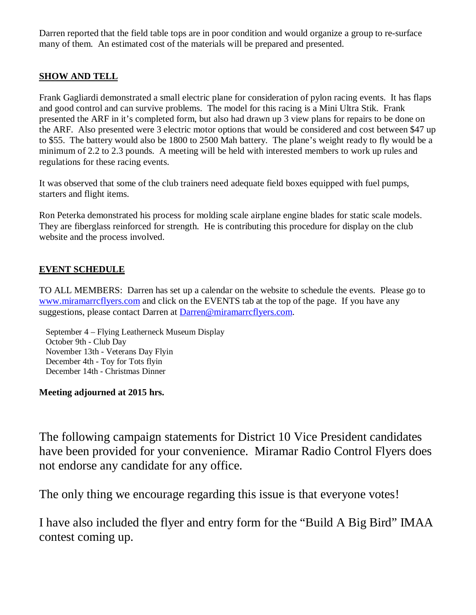Darren reported that the field table tops are in poor condition and would organize a group to re-surface many of them. An estimated cost of the materials will be prepared and presented.

#### **SHOW AND TELL**

Frank Gagliardi demonstrated a small electric plane for consideration of pylon racing events. It has flaps and good control and can survive problems. The model for this racing is a Mini Ultra Stik. Frank presented the ARF in it's completed form, but also had drawn up 3 view plans for repairs to be done on the ARF. Also presented were 3 electric motor options that would be considered and cost between \$47 up to \$55. The battery would also be 1800 to 2500 Mah battery. The plane's weight ready to fly would be a minimum of 2.2 to 2.3 pounds. A meeting will be held with interested members to work up rules and regulations for these racing events.

It was observed that some of the club trainers need adequate field boxes equipped with fuel pumps, starters and flight items.

Ron Peterka demonstrated his process for molding scale airplane engine blades for static scale models. They are fiberglass reinforced for strength. He is contributing this procedure for display on the club website and the process involved.

#### **EVENT SCHEDULE**

TO ALL MEMBERS: Darren has set up a calendar on the website to schedule the events. Please go to www.miramarrcflyers.com and click on the EVENTS tab at the top of the page. If you have any suggestions, please contact Darren at Darren@miramarrcflyers.com.

 September 4 – Flying Leatherneck Museum Display October 9th - Club Day November 13th - Veterans Day Flyin December 4th - Toy for Tots flyin December 14th - Christmas Dinner

#### **Meeting adjourned at 2015 hrs.**

The following campaign statements for District 10 Vice President candidates have been provided for your convenience. Miramar Radio Control Flyers does not endorse any candidate for any office.

The only thing we encourage regarding this issue is that everyone votes!

I have also included the flyer and entry form for the "Build A Big Bird" IMAA contest coming up.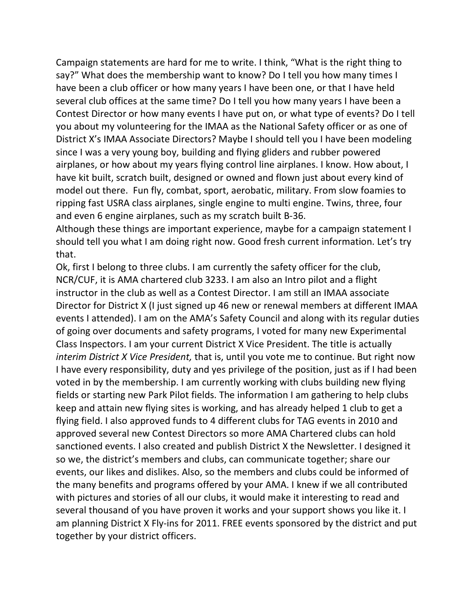Campaign statements are hard for me to write. I think, "What is the right thing to say?" What does the membership want to know? Do I tell you how many times I have been a club officer or how many years I have been one, or that I have held several club offices at the same time? Do I tell you how many years I have been a Contest Director or how many events I have put on, or what type of events? Do I tell you about my volunteering for the IMAA as the National Safety officer or as one of District X's IMAA Associate Directors? Maybe I should tell you I have been modeling since I was a very young boy, building and flying gliders and rubber powered airplanes, or how about my years flying control line airplanes. I know. How about, I have kit built, scratch built, designed or owned and flown just about every kind of model out there. Fun fly, combat, sport, aerobatic, military. From slow foamies to ripping fast USRA class airplanes, single engine to multi engine. Twins, three, four and even 6 engine airplanes, such as my scratch built B‐36.

Although these things are important experience, maybe for a campaign statement I should tell you what I am doing right now. Good fresh current information. Let's try that.

Ok, first I belong to three clubs. I am currently the safety officer for the club, NCR/CUF, it is AMA chartered club 3233. I am also an Intro pilot and a flight instructor in the club as well as a Contest Director. I am still an IMAA associate Director for District X (I just signed up 46 new or renewal members at different IMAA events I attended). I am on the AMA's Safety Council and along with its regular duties of going over documents and safety programs, I voted for many new Experimental Class Inspectors. I am your current District X Vice President. The title is actually *interim District X Vice President,* that is, until you vote me to continue. But right now I have every responsibility, duty and yes privilege of the position, just as if I had been voted in by the membership. I am currently working with clubs building new flying fields or starting new Park Pilot fields. The information I am gathering to help clubs keep and attain new flying sites is working, and has already helped 1 club to get a flying field. I also approved funds to 4 different clubs for TAG events in 2010 and approved several new Contest Directors so more AMA Chartered clubs can hold sanctioned events. I also created and publish District X the Newsletter. I designed it so we, the district's members and clubs, can communicate together; share our events, our likes and dislikes. Also, so the members and clubs could be informed of the many benefits and programs offered by your AMA. I knew if we all contributed with pictures and stories of all our clubs, it would make it interesting to read and several thousand of you have proven it works and your support shows you like it. I am planning District X Fly-ins for 2011. FREE events sponsored by the district and put together by your district officers.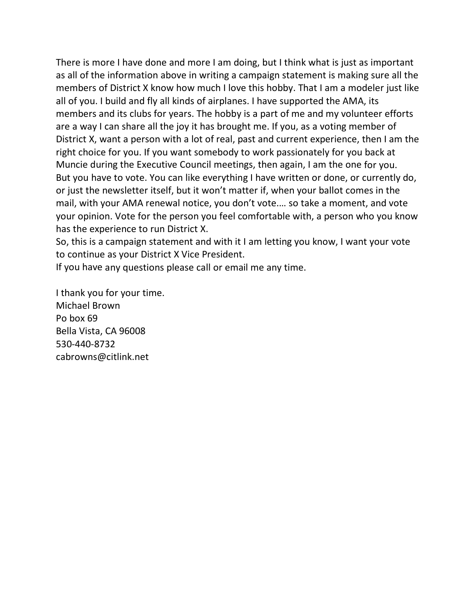There is more I have done and more I am doing, but I think what is just as important as all of the information above in writing a campaign statement is making sure all the members of District X know how much I love this hobby. That I am a modeler just like all of you. I build and fly all kinds of airplanes. I have supported the AMA, its members and its clubs for years. The hobby is a part of me and my volunteer efforts are a way I can share all the joy it has brought me. If you, as a voting member of District X, want a person with a lot of real, past and current experience, then I am the right choice for you. If you want somebody to work passionately for you back at Muncie during the Executive Council meetings, then again, I am the one for you. But you have to vote. You can like everything I have written or done, or currently do, or just the newsletter itself, but it won't matter if, when your ballot comes in the mail, with your AMA renewal notice, you don't vote.… so take a moment, and vote your opinion. Vote for the person you feel comfortable with, a person who you know has the experience to run District X.

So, this is a campaign statement and with it I am letting you know, I want your vote to continue as your District X Vice President.

If you have any questions please call or email me any time.

I thank you for your time. Michael Brown Po box 69 Bella Vista, CA 96008 530‐440‐8732 cabrowns@citlink.net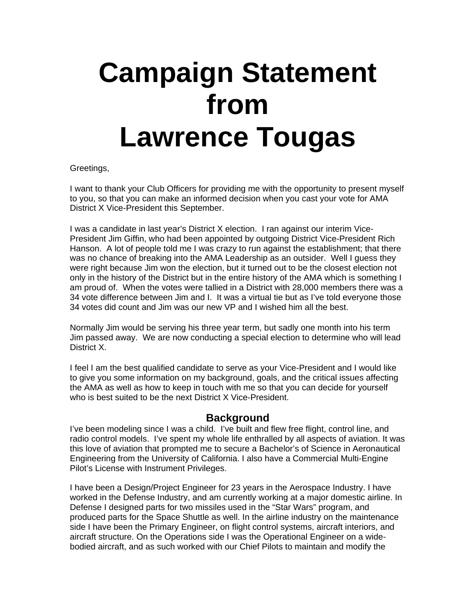## **Campaign Statement from Lawrence Tougas**

#### Greetings,

I want to thank your Club Officers for providing me with the opportunity to present myself to you, so that you can make an informed decision when you cast your vote for AMA District X Vice-President this September.

I was a candidate in last year's District X election. I ran against our interim Vice-President Jim Giffin, who had been appointed by outgoing District Vice-President Rich Hanson. A lot of people told me I was crazy to run against the establishment; that there was no chance of breaking into the AMA Leadership as an outsider. Well I guess they were right because Jim won the election, but it turned out to be the closest election not only in the history of the District but in the entire history of the AMA which is something I am proud of. When the votes were tallied in a District with 28,000 members there was a 34 vote difference between Jim and I. It was a virtual tie but as I've told everyone those 34 votes did count and Jim was our new VP and I wished him all the best.

Normally Jim would be serving his three year term, but sadly one month into his term Jim passed away. We are now conducting a special election to determine who will lead District X.

I feel I am the best qualified candidate to serve as your Vice-President and I would like to give you some information on my background, goals, and the critical issues affecting the AMA as well as how to keep in touch with me so that you can decide for yourself who is best suited to be the next District X Vice-President.

#### **Background**

I've been modeling since I was a child. I've built and flew free flight, control line, and radio control models. I've spent my whole life enthralled by all aspects of aviation. It was this love of aviation that prompted me to secure a Bachelor's of Science in Aeronautical Engineering from the University of California. I also have a Commercial Multi-Engine Pilot's License with Instrument Privileges.

I have been a Design/Project Engineer for 23 years in the Aerospace Industry. I have worked in the Defense Industry, and am currently working at a major domestic airline. In Defense I designed parts for two missiles used in the "Star Wars" program, and produced parts for the Space Shuttle as well. In the airline industry on the maintenance side I have been the Primary Engineer, on flight control systems, aircraft interiors, and aircraft structure. On the Operations side I was the Operational Engineer on a widebodied aircraft, and as such worked with our Chief Pilots to maintain and modify the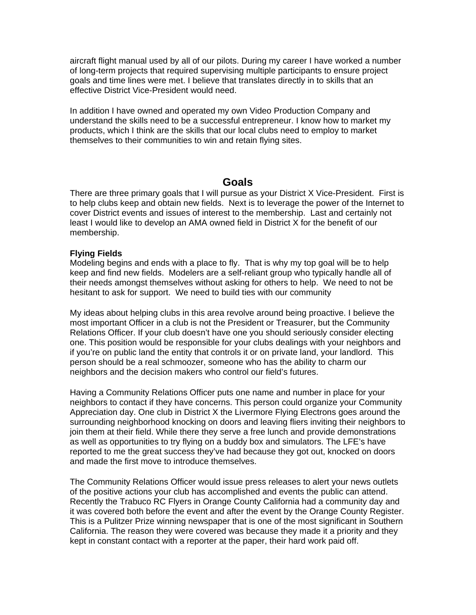aircraft flight manual used by all of our pilots. During my career I have worked a number of long-term projects that required supervising multiple participants to ensure project goals and time lines were met. I believe that translates directly in to skills that an effective District Vice-President would need.

In addition I have owned and operated my own Video Production Company and understand the skills need to be a successful entrepreneur. I know how to market my products, which I think are the skills that our local clubs need to employ to market themselves to their communities to win and retain flying sites.

#### **Goals**

There are three primary goals that I will pursue as your District X Vice-President. First is to help clubs keep and obtain new fields. Next is to leverage the power of the Internet to cover District events and issues of interest to the membership. Last and certainly not least I would like to develop an AMA owned field in District X for the benefit of our membership.

#### **Flying Fields**

Modeling begins and ends with a place to fly. That is why my top goal will be to help keep and find new fields. Modelers are a self-reliant group who typically handle all of their needs amongst themselves without asking for others to help. We need to not be hesitant to ask for support. We need to build ties with our community

My ideas about helping clubs in this area revolve around being proactive. I believe the most important Officer in a club is not the President or Treasurer, but the Community Relations Officer. If your club doesn't have one you should seriously consider electing one. This position would be responsible for your clubs dealings with your neighbors and if you're on public land the entity that controls it or on private land, your landlord. This person should be a real schmoozer, someone who has the ability to charm our neighbors and the decision makers who control our field's futures.

Having a Community Relations Officer puts one name and number in place for your neighbors to contact if they have concerns. This person could organize your Community Appreciation day. One club in District X the Livermore Flying Electrons goes around the surrounding neighborhood knocking on doors and leaving fliers inviting their neighbors to join them at their field. While there they serve a free lunch and provide demonstrations as well as opportunities to try flying on a buddy box and simulators. The LFE's have reported to me the great success they've had because they got out, knocked on doors and made the first move to introduce themselves.

The Community Relations Officer would issue press releases to alert your news outlets of the positive actions your club has accomplished and events the public can attend. Recently the Trabuco RC Flyers in Orange County California had a community day and it was covered both before the event and after the event by the Orange County Register. This is a Pulitzer Prize winning newspaper that is one of the most significant in Southern California. The reason they were covered was because they made it a priority and they kept in constant contact with a reporter at the paper, their hard work paid off.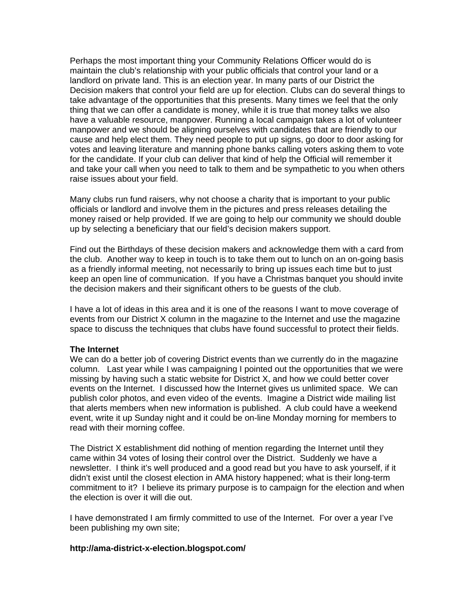Perhaps the most important thing your Community Relations Officer would do is maintain the club's relationship with your public officials that control your land or a landlord on private land. This is an election year. In many parts of our District the Decision makers that control your field are up for election. Clubs can do several things to take advantage of the opportunities that this presents. Many times we feel that the only thing that we can offer a candidate is money, while it is true that money talks we also have a valuable resource, manpower. Running a local campaign takes a lot of volunteer manpower and we should be aligning ourselves with candidates that are friendly to our cause and help elect them. They need people to put up signs, go door to door asking for votes and leaving literature and manning phone banks calling voters asking them to vote for the candidate. If your club can deliver that kind of help the Official will remember it and take your call when you need to talk to them and be sympathetic to you when others raise issues about your field.

Many clubs run fund raisers, why not choose a charity that is important to your public officials or landlord and involve them in the pictures and press releases detailing the money raised or help provided. If we are going to help our community we should double up by selecting a beneficiary that our field's decision makers support.

Find out the Birthdays of these decision makers and acknowledge them with a card from the club. Another way to keep in touch is to take them out to lunch on an on-going basis as a friendly informal meeting, not necessarily to bring up issues each time but to just keep an open line of communication. If you have a Christmas banquet you should invite the decision makers and their significant others to be guests of the club.

I have a lot of ideas in this area and it is one of the reasons I want to move coverage of events from our District X column in the magazine to the Internet and use the magazine space to discuss the techniques that clubs have found successful to protect their fields.

#### **The Internet**

We can do a better job of covering District events than we currently do in the magazine column. Last year while I was campaigning I pointed out the opportunities that we were missing by having such a static website for District X, and how we could better cover events on the Internet. I discussed how the Internet gives us unlimited space. We can publish color photos, and even video of the events. Imagine a District wide mailing list that alerts members when new information is published. A club could have a weekend event, write it up Sunday night and it could be on-line Monday morning for members to read with their morning coffee.

The District X establishment did nothing of mention regarding the Internet until they came within 34 votes of losing their control over the District. Suddenly we have a newsletter. I think it's well produced and a good read but you have to ask yourself, if it didn't exist until the closest election in AMA history happened; what is their long-term commitment to it? I believe its primary purpose is to campaign for the election and when the election is over it will die out.

I have demonstrated I am firmly committed to use of the Internet. For over a year I've been publishing my own site;

#### **http://ama-district-x-election.blogspot.com/**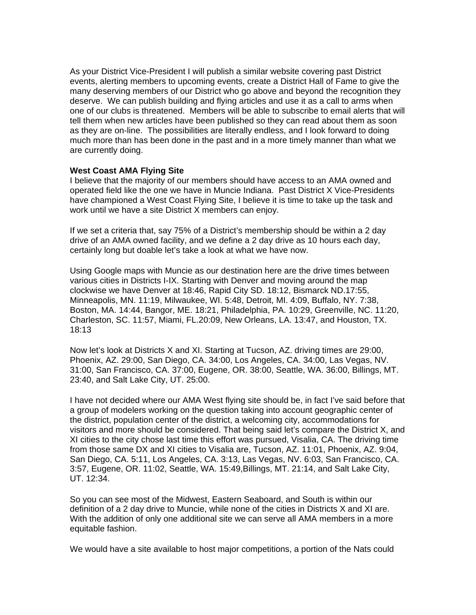As your District Vice-President I will publish a similar website covering past District events, alerting members to upcoming events, create a District Hall of Fame to give the many deserving members of our District who go above and beyond the recognition they deserve. We can publish building and flying articles and use it as a call to arms when one of our clubs is threatened. Members will be able to subscribe to email alerts that will tell them when new articles have been published so they can read about them as soon as they are on-line. The possibilities are literally endless, and I look forward to doing much more than has been done in the past and in a more timely manner than what we are currently doing.

#### **West Coast AMA Flying Site**

I believe that the majority of our members should have access to an AMA owned and operated field like the one we have in Muncie Indiana. Past District X Vice-Presidents have championed a West Coast Flying Site, I believe it is time to take up the task and work until we have a site District X members can enjoy.

If we set a criteria that, say 75% of a District's membership should be within a 2 day drive of an AMA owned facility, and we define a 2 day drive as 10 hours each day, certainly long but doable let's take a look at what we have now.

Using Google maps with Muncie as our destination here are the drive times between various cities in Districts I-IX. Starting with Denver and moving around the map clockwise we have Denver at 18:46, Rapid City SD. 18:12, Bismarck ND.17:55, Minneapolis, MN. 11:19, Milwaukee, WI. 5:48, Detroit, MI. 4:09, Buffalo, NY. 7:38, Boston, MA. 14:44, Bangor, ME. 18:21, Philadelphia, PA. 10:29, Greenville, NC. 11:20, Charleston, SC. 11:57, Miami, FL.20:09, New Orleans, LA. 13:47, and Houston, TX. 18:13

Now let's look at Districts X and XI. Starting at Tucson, AZ. driving times are 29:00, Phoenix, AZ. 29:00, San Diego, CA. 34:00, Los Angeles, CA. 34:00, Las Vegas, NV. 31:00, San Francisco, CA. 37:00, Eugene, OR. 38:00, Seattle, WA. 36:00, Billings, MT. 23:40, and Salt Lake City, UT. 25:00.

I have not decided where our AMA West flying site should be, in fact I've said before that a group of modelers working on the question taking into account geographic center of the district, population center of the district, a welcoming city, accommodations for visitors and more should be considered. That being said let's compare the District X, and XI cities to the city chose last time this effort was pursued, Visalia, CA. The driving time from those same DX and XI cities to Visalia are, Tucson, AZ. 11:01, Phoenix, AZ. 9:04, San Diego, CA. 5:11, Los Angeles, CA. 3:13, Las Vegas, NV. 6:03, San Francisco, CA. 3:57, Eugene, OR. 11:02, Seattle, WA. 15:49,Billings, MT. 21:14, and Salt Lake City, UT. 12:34.

So you can see most of the Midwest, Eastern Seaboard, and South is within our definition of a 2 day drive to Muncie, while none of the cities in Districts X and XI are. With the addition of only one additional site we can serve all AMA members in a more equitable fashion.

We would have a site available to host major competitions, a portion of the Nats could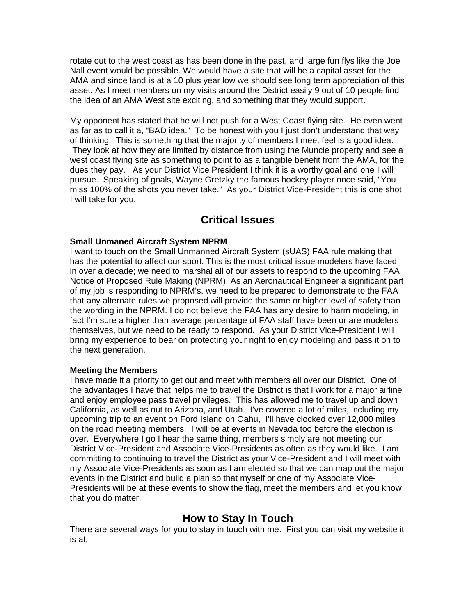rotate out to the west coast as has been done in the past, and large fun flys like the Joe Nall event would be possible. We would have a site that will be a capital asset for the AMA and since land is at a 10 plus year low we should see long term appreciation of this asset. As I meet members on my visits around the District easily 9 out of 10 people find the idea of an AMA West site exciting, and something that they would support.

My opponent has stated that he will not push for a West Coast flying site. He even went as far as to call it a, "BAD idea." To be honest with you I just don't understand that way of thinking. This is something that the majority of members I meet feel is a good idea. They look at how they are limited by distance from using the Muncie property and see a west coast flying site as something to point to as a tangible benefit from the AMA, for the dues they pay. As your District Vice President I think it is a worthy goal and one I will pursue. Speaking of goals, Wayne Gretzky the famous hockey player once said, "You miss 100% of the shots you never take." As your District Vice-President this is one shot I will take for you.

#### **Critical Issues**

#### **Small Unmaned Aircraft System NPRM**

I want to touch on the Small Unmanned Aircraft System (sUAS) FAA rule making that has the potential to affect our sport. This is the most critical issue modelers have faced in over a decade; we need to marshal all of our assets to respond to the upcoming FAA Notice of Proposed Rule Making (NPRM). As an Aeronautical Engineer a significant part of my job is responding to NPRM's, we need to be prepared to demonstrate to the FAA that any alternate rules we proposed will provide the same or higher level of safety than the wording in the NPRM. I do not believe the FAA has any desire to harm modeling, in fact I'm sure a higher than average percentage of FAA staff have been or are modelers themselves, but we need to be ready to respond. As your District Vice-President I will bring my experience to bear on protecting your right to enjoy modeling and pass it on to the next generation.

#### **Meeting the Members**

I have made it a priority to get out and meet with members all over our District. One of the advantages I have that helps me to travel the District is that I work for a major airline and enjoy employee pass travel privileges. This has allowed me to travel up and down California, as well as out to Arizona, and Utah. I've covered a lot of miles, including my upcoming trip to an event on Ford Island on Oahu, I'll have clocked over 12,000 miles on the road meeting members. I will be at events in Nevada too before the election is over. Everywhere I go I hear the same thing, members simply are not meeting our District Vice-President and Associate Vice-Presidents as often as they would like. I am committing to continuing to travel the District as your Vice-President and I will meet with my Associate Vice-Presidents as soon as I am elected so that we can map out the major events in the District and build a plan so that myself or one of my Associate Vice-Presidents will be at these events to show the flag, meet the members and let you know that you do matter.

#### **How to Stay In Touch**

There are several ways for you to stay in touch with me. First you can visit my website it is at;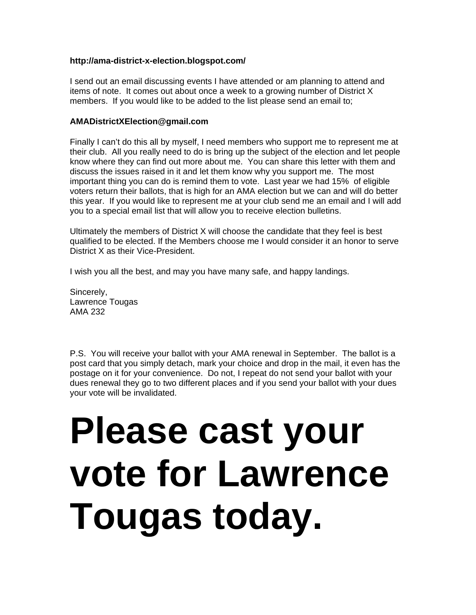#### **http://ama-district-x-election.blogspot.com/**

I send out an email discussing events I have attended or am planning to attend and items of note. It comes out about once a week to a growing number of District X members. If you would like to be added to the list please send an email to;

#### **AMADistrictXElection@gmail.com**

Finally I can't do this all by myself, I need members who support me to represent me at their club. All you really need to do is bring up the subject of the election and let people know where they can find out more about me. You can share this letter with them and discuss the issues raised in it and let them know why you support me. The most important thing you can do is remind them to vote. Last year we had 15% of eligible voters return their ballots, that is high for an AMA election but we can and will do better this year. If you would like to represent me at your club send me an email and I will add you to a special email list that will allow you to receive election bulletins.

Ultimately the members of District X will choose the candidate that they feel is best qualified to be elected. If the Members choose me I would consider it an honor to serve District X as their Vice-President.

I wish you all the best, and may you have many safe, and happy landings.

Sincerely, Lawrence Tougas AMA 232

P.S. You will receive your ballot with your AMA renewal in September. The ballot is a post card that you simply detach, mark your choice and drop in the mail, it even has the postage on it for your convenience. Do not, I repeat do not send your ballot with your dues renewal they go to two different places and if you send your ballot with your dues your vote will be invalidated.

# **Please cast your vote for Lawrence Tougas today.**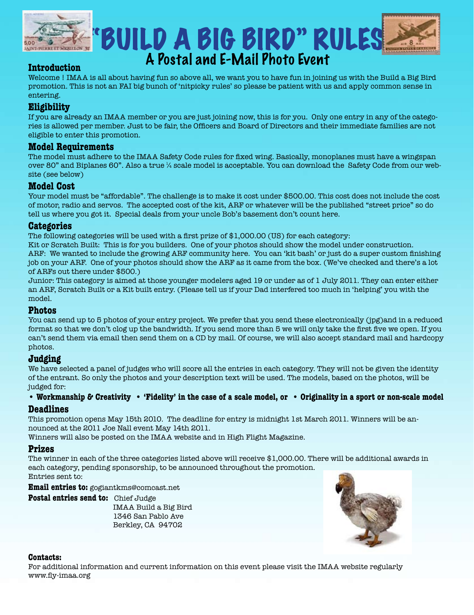

### "BUILD A BIG BIRD" RULES A Postal and E-Mail Photo Event

#### **Introduction**

Welcome ! IMAA is all about having fun so above all, we want you to have fun in joining us with the Build a Big Bird promotion. This is not an FAI big bunch of 'nitpicky rules' so please be patient with us and apply common sense in entering.

#### **Eligibility**

If you are already an IMAA member or you are just joining now, this is for you. Only one entry in any of the categories is allowed per member. Just to be fair, the Officers and Board of Directors and their immediate families are not eligible to enter this promotion.

#### **Model Requirements**

The model must adhere to the IMAA Safety Code rules for fixed wing. Basically, monoplanes must have a wingspan over 80" and Biplanes 60". Also a true ¼ scale model is acceptable. You can download the Safety Code from our website (see below)

#### **Model Cost**

Your model must be "affordable". The challenge is to make it cost under \$500.00. This cost does not include the cost of motor, radio and servos. The accepted cost of the kit, ARF or whatever will be the published "street price" so do tell us where you got it. Special deals from your uncle Bob's basement don't count here.

#### **Categories**

The following categories will be used with a first prize of \$1,000.00 (US) for each category:

Kit or Scratch Built: This is for you builders. One of your photos should show the model under construction. ARF: We wanted to include the growing ARF community here. You can 'kit bash' or just do a super custom finishing job on your ARF. One of your photos should show the ARF as it came from the box. (We've checked and there's a lot of ARFs out there under \$500.)

Junior: This category is aimed at those younger modelers aged 19 or under as of 1 July 2011. They can enter either an ARF, Scratch Built or a Kit built entry. (Please tell us if your Dad interfered too much in 'helping' you with the model.

#### **Photos**

You can send up to 5 photos of your entry project. We prefer that you send these electronically (jpg)and in a reduced format so that we don't clog up the bandwidth. If you send more than 5 we will only take the first five we open. If you can't send them via email then send them on a CD by mail. Of course, we will also accept standard mail and hardcopy photos.

#### **Judging**

We have selected a panel of judges who will score all the entries in each category. They will not be given the identity of the entrant. So only the photos and your description text will be used. The models, based on the photos, will be judged for:

#### **• Workmanship & Creativity • 'Fidelity' in the case of a scale model, or • Originality in a sport or non-scale model**

#### **Deadlines**

This promotion opens May 15th 2010. The deadline for entry is midnight 1st March 2011. Winners will be announced at the 2011 Joe Nall event May 14th 2011.

Winners will also be posted on the IMAA website and in High Flight Magazine.

#### **Prizes**

The winner in each of the three categories listed above will receive \$1,000.00. There will be additional awards in each category, pending sponsorship, to be announced throughout the promotion. Entries sent to:

**Email entries to:** gogiantkms@comcast.net

**Postal entries send to:** Chief Judge

 IMAA Build a Big Bird 1346 San Pablo Ave Berkley, CA 94702



#### **Contacts:**

For additional information and current information on this event please visit the IMAA website regularly www.fly-imaa.org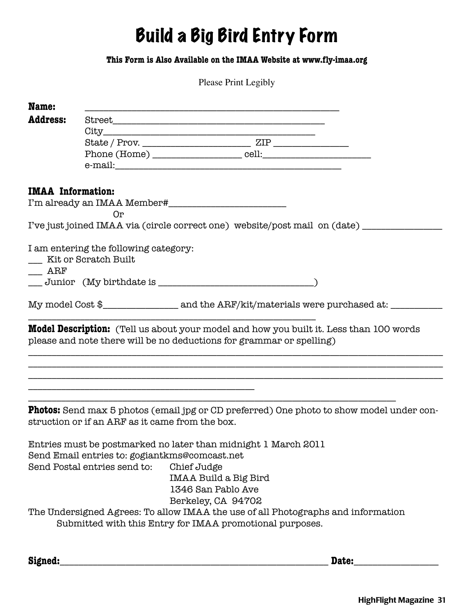### Build a Big Bird Entry Form

#### **This Form is Also Available on the IMAA Website at www.fly-imaa.org**

Please Print Legibly

| Name:                    |                                                                               |                                                                                                                                                                       |  |
|--------------------------|-------------------------------------------------------------------------------|-----------------------------------------------------------------------------------------------------------------------------------------------------------------------|--|
| <b>Address:</b>          |                                                                               |                                                                                                                                                                       |  |
|                          |                                                                               |                                                                                                                                                                       |  |
|                          |                                                                               |                                                                                                                                                                       |  |
|                          |                                                                               |                                                                                                                                                                       |  |
|                          |                                                                               |                                                                                                                                                                       |  |
| <b>IMAA</b> Information: |                                                                               |                                                                                                                                                                       |  |
|                          |                                                                               |                                                                                                                                                                       |  |
|                          | 0r                                                                            |                                                                                                                                                                       |  |
|                          |                                                                               | I've just joined IMAA via (circle correct one) website/post mail on (date) ______                                                                                     |  |
|                          | I am entering the following category:                                         |                                                                                                                                                                       |  |
|                          | Kit or Scratch Built                                                          |                                                                                                                                                                       |  |
| $\rm ARF$                |                                                                               |                                                                                                                                                                       |  |
|                          |                                                                               |                                                                                                                                                                       |  |
|                          |                                                                               |                                                                                                                                                                       |  |
|                          |                                                                               |                                                                                                                                                                       |  |
|                          |                                                                               | <b>Model Description:</b> (Tell us about your model and how you built it. Less than 100 words<br>please and note there will be no deductions for grammar or spelling) |  |
|                          | struction or if an ARF as it came from the box.                               | <b>Photos:</b> Send max 5 photos (email jpg or CD preferred) One photo to show model under con-                                                                       |  |
|                          | Send Email entries to: gogiantkms@comcast.net<br>Send Postal entries send to: | Entries must be postmarked no later than midnight 1 March 2011<br>Chief Judge<br><b>IMAA Build a Big Bird</b><br>1346 San Pablo Ave                                   |  |
|                          |                                                                               | Berkeley, CA 94702<br>The Undersigned Agrees: To allow IMAA the use of all Photographs and information<br>Submitted with this Entry for IMAA promotional purposes.    |  |

**Signed:**\_\_\_\_\_\_\_\_\_\_\_\_\_\_\_\_\_\_\_\_\_\_\_\_\_\_\_\_\_\_\_\_\_\_\_\_\_\_\_\_\_\_\_\_\_\_\_\_\_\_\_\_\_\_\_\_\_ **Date:**\_\_\_\_\_\_\_\_\_\_\_\_\_\_\_\_\_\_